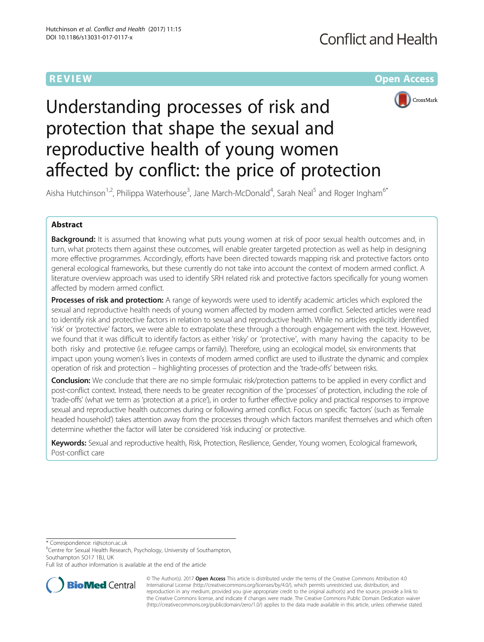## **REVIEW ACCESS AND LOCAL CONTRACT CONTRACT OF ACCESS**



# Understanding processes of risk and protection that shape the sexual and reproductive health of young women affected by conflict: the price of protection

Aisha Hutchinson<sup>1,2</sup>, Philippa Waterhouse<sup>3</sup>, Jane March-McDonald<sup>4</sup>, Sarah Neal<sup>5</sup> and Roger Ingham<sup>6\*</sup>

## Abstract

Background: It is assumed that knowing what puts young women at risk of poor sexual health outcomes and, in turn, what protects them against these outcomes, will enable greater targeted protection as well as help in designing more effective programmes. Accordingly, efforts have been directed towards mapping risk and protective factors onto general ecological frameworks, but these currently do not take into account the context of modern armed conflict. A literature overview approach was used to identify SRH related risk and protective factors specifically for young women affected by modern armed conflict.

Processes of risk and protection: A range of keywords were used to identify academic articles which explored the sexual and reproductive health needs of young women affected by modern armed conflict. Selected articles were read to identify risk and protective factors in relation to sexual and reproductive health. While no articles explicitly identified 'risk' or 'protective' factors, we were able to extrapolate these through a thorough engagement with the text. However, we found that it was difficult to identify factors as either 'risky' or 'protective', with many having the capacity to be both risky and protective (i.e. refugee camps or family). Therefore, using an ecological model, six environments that impact upon young women's lives in contexts of modern armed conflict are used to illustrate the dynamic and complex operation of risk and protection – highlighting processes of protection and the 'trade-offs' between risks.

Conclusion: We conclude that there are no simple formulaic risk/protection patterns to be applied in every conflict and post-conflict context. Instead, there needs to be greater recognition of the 'processes' of protection, including the role of 'trade-offs' (what we term as 'protection at a price'), in order to further effective policy and practical responses to improve sexual and reproductive health outcomes during or following armed conflict. Focus on specific 'factors' (such as 'female headed household') takes attention away from the processes through which factors manifest themselves and which often determine whether the factor will later be considered 'risk inducing' or protective.

Keywords: Sexual and reproductive health, Risk, Protection, Resilience, Gender, Young women, Ecological framework, Post-conflict care

\* Correspondence: [ri@soton.ac.uk](mailto:ri@soton.ac.uk) <sup>6</sup>

Centre for Sexual Health Research, Psychology, University of Southampton, Southampton SO17 1BJ, UK

Full list of author information is available at the end of the article



© The Author(s). 2017 **Open Access** This article is distributed under the terms of the Creative Commons Attribution 4.0 International License [\(http://creativecommons.org/licenses/by/4.0/](http://creativecommons.org/licenses/by/4.0/)), which permits unrestricted use, distribution, and reproduction in any medium, provided you give appropriate credit to the original author(s) and the source, provide a link to the Creative Commons license, and indicate if changes were made. The Creative Commons Public Domain Dedication waiver [\(http://creativecommons.org/publicdomain/zero/1.0/](http://creativecommons.org/publicdomain/zero/1.0/)) applies to the data made available in this article, unless otherwise stated.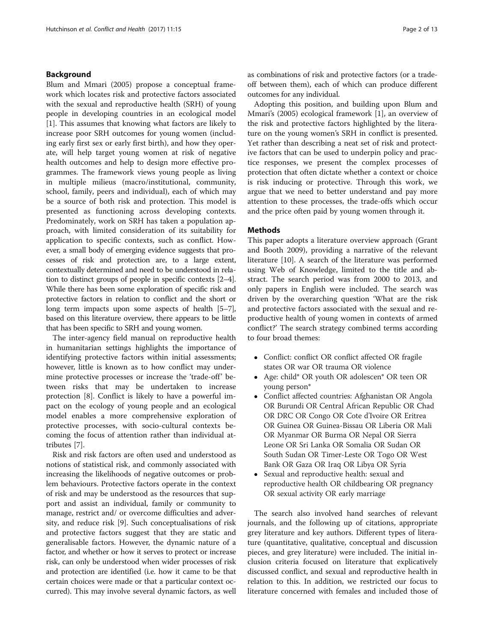## Background

Blum and Mmari (2005) propose a conceptual framework which locates risk and protective factors associated with the sexual and reproductive health (SRH) of young people in developing countries in an ecological model [[1\]](#page-10-0). This assumes that knowing what factors are likely to increase poor SRH outcomes for young women (including early first sex or early first birth), and how they operate, will help target young women at risk of negative health outcomes and help to design more effective programmes. The framework views young people as living in multiple milieus (macro/institutional, community, school, family, peers and individual), each of which may be a source of both risk and protection. This model is presented as functioning across developing contexts. Predominately, work on SRH has taken a population approach, with limited consideration of its suitability for application to specific contexts, such as conflict. However, a small body of emerging evidence suggests that processes of risk and protection are, to a large extent, contextually determined and need to be understood in relation to distinct groups of people in specific contexts [\[2](#page-10-0)–[4](#page-10-0)]. While there has been some exploration of specific risk and protective factors in relation to conflict and the short or long term impacts upon some aspects of health [\[5](#page-10-0)–[7](#page-11-0)], based on this literature overview, there appears to be little that has been specific to SRH and young women.

The inter-agency field manual on reproductive health in humanitarian settings highlights the importance of identifying protective factors within initial assessments; however, little is known as to how conflict may undermine protective processes or increase the 'trade-off' between risks that may be undertaken to increase protection [\[8](#page-11-0)]. Conflict is likely to have a powerful impact on the ecology of young people and an ecological model enables a more comprehensive exploration of protective processes, with socio-cultural contexts becoming the focus of attention rather than individual attributes [[7\]](#page-11-0).

Risk and risk factors are often used and understood as notions of statistical risk, and commonly associated with increasing the likelihoods of negative outcomes or problem behaviours. Protective factors operate in the context of risk and may be understood as the resources that support and assist an individual, family or community to manage, restrict and/ or overcome difficulties and adversity, and reduce risk [[9\]](#page-11-0). Such conceptualisations of risk and protective factors suggest that they are static and generalisable factors. However, the dynamic nature of a factor, and whether or how it serves to protect or increase risk, can only be understood when wider processes of risk and protection are identified (i.e. how it came to be that certain choices were made or that a particular context occurred). This may involve several dynamic factors, as well as combinations of risk and protective factors (or a tradeoff between them), each of which can produce different outcomes for any individual.

Adopting this position, and building upon Blum and Mmari's (2005) ecological framework [\[1](#page-10-0)], an overview of the risk and protective factors highlighted by the literature on the young women's SRH in conflict is presented. Yet rather than describing a neat set of risk and protective factors that can be used to underpin policy and practice responses, we present the complex processes of protection that often dictate whether a context or choice is risk inducing or protective. Through this work, we argue that we need to better understand and pay more attention to these processes, the trade-offs which occur and the price often paid by young women through it.

## **Methods**

This paper adopts a literature overview approach (Grant and Booth 2009), providing a narrative of the relevant literature [[10\]](#page-11-0). A search of the literature was performed using Web of Knowledge, limited to the title and abstract. The search period was from 2000 to 2013, and only papers in English were included. The search was driven by the overarching question 'What are the risk and protective factors associated with the sexual and reproductive health of young women in contexts of armed conflict?' The search strategy combined terms according to four broad themes:

- Conflict: conflict OR conflict affected OR fragile states OR war OR trauma OR violence
- Age: child\* OR youth OR adolescen\* OR teen OR young person\*
- Conflict affected countries: Afghanistan OR Angola OR Burundi OR Central African Republic OR Chad OR DRC OR Congo OR Cote d'Ivoire OR Eritrea OR Guinea OR Guinea-Bissau OR Liberia OR Mali OR Myanmar OR Burma OR Nepal OR Sierra Leone OR Sri Lanka OR Somalia OR Sudan OR South Sudan OR Timer-Leste OR Togo OR West Bank OR Gaza OR Iraq OR Libya OR Syria
- Sexual and reproductive health: sexual and reproductive health OR childbearing OR pregnancy OR sexual activity OR early marriage

The search also involved hand searches of relevant journals, and the following up of citations, appropriate grey literature and key authors. Different types of literature (quantitative, qualitative, conceptual and discussion pieces, and grey literature) were included. The initial inclusion criteria focused on literature that explicatively discussed conflict, and sexual and reproductive health in relation to this. In addition, we restricted our focus to literature concerned with females and included those of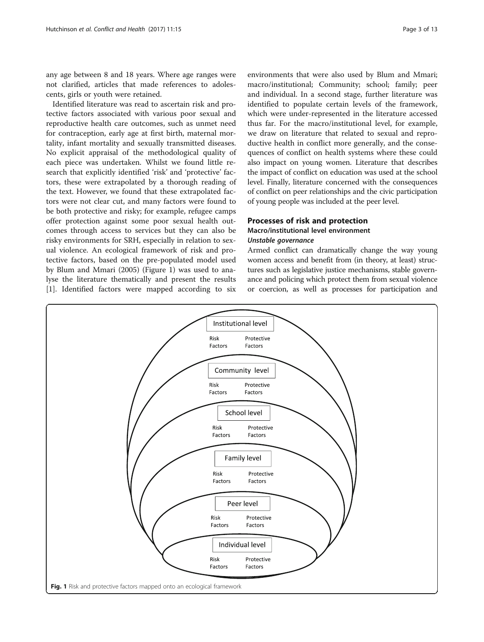any age between 8 and 18 years. Where age ranges were not clarified, articles that made references to adolescents, girls or youth were retained.

Identified literature was read to ascertain risk and protective factors associated with various poor sexual and reproductive health care outcomes, such as unmet need for contraception, early age at first birth, maternal mortality, infant mortality and sexually transmitted diseases. No explicit appraisal of the methodological quality of each piece was undertaken. Whilst we found little research that explicitly identified 'risk' and 'protective' factors, these were extrapolated by a thorough reading of the text. However, we found that these extrapolated factors were not clear cut, and many factors were found to be both protective and risky; for example, refugee camps offer protection against some poor sexual health outcomes through access to services but they can also be risky environments for SRH, especially in relation to sexual violence. An ecological framework of risk and protective factors, based on the pre-populated model used by Blum and Mmari (2005) (Figure 1) was used to analyse the literature thematically and present the results [[1\]](#page-10-0). Identified factors were mapped according to six

environments that were also used by Blum and Mmari; macro/institutional; Community; school; family; peer and individual. In a second stage, further literature was identified to populate certain levels of the framework, which were under-represented in the literature accessed thus far. For the macro/institutional level, for example, we draw on literature that related to sexual and reproductive health in conflict more generally, and the consequences of conflict on health systems where these could also impact on young women. Literature that describes the impact of conflict on education was used at the school level. Finally, literature concerned with the consequences of conflict on peer relationships and the civic participation of young people was included at the peer level.

## Processes of risk and protection Macro/institutional level environment Unstable governance

Armed conflict can dramatically change the way young women access and benefit from (in theory, at least) structures such as legislative justice mechanisms, stable governance and policing which protect them from sexual violence or coercion, as well as processes for participation and

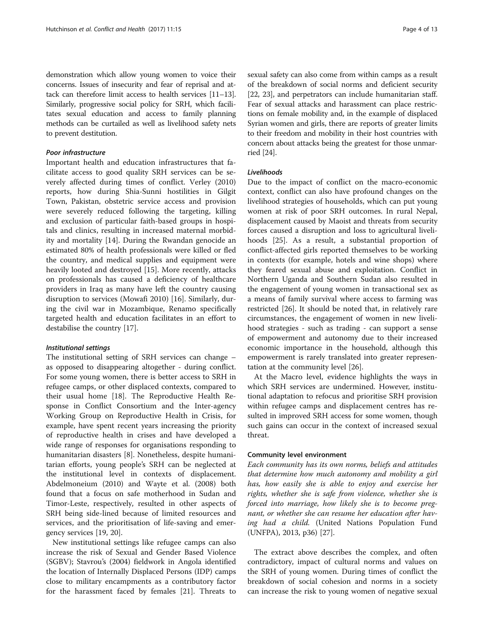demonstration which allow young women to voice their concerns. Issues of insecurity and fear of reprisal and attack can therefore limit access to health services [[11](#page-11-0)–[13](#page-11-0)]. Similarly, progressive social policy for SRH, which facilitates sexual education and access to family planning methods can be curtailed as well as livelihood safety nets to prevent destitution.

### Poor infrastructure

Important health and education infrastructures that facilitate access to good quality SRH services can be severely affected during times of conflict. Verley (2010) reports, how during Shia-Sunni hostilities in Gilgit Town, Pakistan, obstetric service access and provision were severely reduced following the targeting, killing and exclusion of particular faith-based groups in hospitals and clinics, resulting in increased maternal morbidity and mortality [[14](#page-11-0)]. During the Rwandan genocide an estimated 80% of health professionals were killed or fled the country, and medical supplies and equipment were heavily looted and destroyed [[15](#page-11-0)]. More recently, attacks on professionals has caused a deficiency of healthcare providers in Iraq as many have left the country causing disruption to services (Mowafi 2010) [[16\]](#page-11-0). Similarly, during the civil war in Mozambique, Renamo specifically targeted health and education facilitates in an effort to destabilise the country [\[17\]](#page-11-0).

#### Institutional settings

The institutional setting of SRH services can change – as opposed to disappearing altogether - during conflict. For some young women, there is better access to SRH in refugee camps, or other displaced contexts, compared to their usual home [[18\]](#page-11-0). The Reproductive Health Response in Conflict Consortium and the Inter-agency Working Group on Reproductive Health in Crisis, for example, have spent recent years increasing the priority of reproductive health in crises and have developed a wide range of responses for organisations responding to humanitarian disasters [[8](#page-11-0)]. Nonetheless, despite humanitarian efforts, young people's SRH can be neglected at the institutional level in contexts of displacement. Abdelmoneium (2010) and Wayte et al. (2008) both found that a focus on safe motherhood in Sudan and Timor-Leste, respectively, resulted in other aspects of SRH being side-lined because of limited resources and services, and the prioritisation of life-saving and emergency services [[19, 20\]](#page-11-0).

New institutional settings like refugee camps can also increase the risk of Sexual and Gender Based Violence (SGBV); Stavrou's (2004) fieldwork in Angola identified the location of Internally Displaced Persons (IDP) camps close to military encampments as a contributory factor for the harassment faced by females [[21\]](#page-11-0). Threats to sexual safety can also come from within camps as a result of the breakdown of social norms and deficient security [[22](#page-11-0), [23\]](#page-11-0), and perpetrators can include humanitarian staff. Fear of sexual attacks and harassment can place restrictions on female mobility and, in the example of displaced Syrian women and girls, there are reports of greater limits to their freedom and mobility in their host countries with concern about attacks being the greatest for those unmarried [\[24\]](#page-11-0).

## Livelihoods

Due to the impact of conflict on the macro-economic context, conflict can also have profound changes on the livelihood strategies of households, which can put young women at risk of poor SRH outcomes. In rural Nepal, displacement caused by Maoist and threats from security forces caused a disruption and loss to agricultural livelihoods [[25\]](#page-11-0). As a result, a substantial proportion of conflict-affected girls reported themselves to be working in contexts (for example, hotels and wine shops) where they feared sexual abuse and exploitation. Conflict in Northern Uganda and Southern Sudan also resulted in the engagement of young women in transactional sex as a means of family survival where access to farming was restricted [[26\]](#page-11-0). It should be noted that, in relatively rare circumstances, the engagement of women in new livelihood strategies - such as trading - can support a sense of empowerment and autonomy due to their increased economic importance in the household, although this empowerment is rarely translated into greater representation at the community level [\[26](#page-11-0)].

At the Macro level, evidence highlights the ways in which SRH services are undermined. However, institutional adaptation to refocus and prioritise SRH provision within refugee camps and displacement centres has resulted in improved SRH access for some women, though such gains can occur in the context of increased sexual threat.

#### Community level environment

Each community has its own norms, beliefs and attitudes that determine how much autonomy and mobility a girl has, how easily she is able to enjoy and exercise her rights, whether she is safe from violence, whether she is forced into marriage, how likely she is to become pregnant, or whether she can resume her education after having had a child. (United Nations Population Fund (UNFPA), 2013, p36) [[27\]](#page-11-0).

The extract above describes the complex, and often contradictory, impact of cultural norms and values on the SRH of young women. During times of conflict the breakdown of social cohesion and norms in a society can increase the risk to young women of negative sexual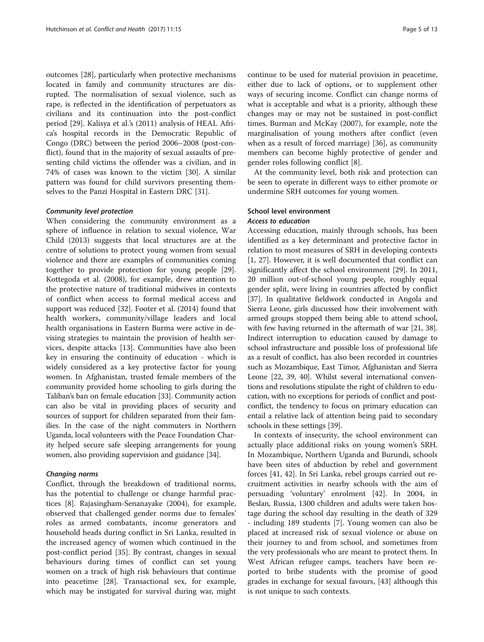outcomes [[28](#page-11-0)], particularly when protective mechanisms located in family and community structures are disrupted. The normalisation of sexual violence, such as rape, is reflected in the identification of perpetuators as civilians and its continuation into the post-conflict period [\[29\]](#page-11-0). Kalisya et al.'s (2011) analysis of HEAL Africa's hospital records in the Democratic Republic of Congo (DRC) between the period 2006–2008 (post-conflict), found that in the majority of sexual assaults of presenting child victims the offender was a civilian, and in 74% of cases was known to the victim [\[30](#page-11-0)]. A similar pattern was found for child survivors presenting themselves to the Panzi Hospital in Eastern DRC [[31\]](#page-11-0).

#### Community level protection

When considering the community environment as a sphere of influence in relation to sexual violence, War Child (2013) suggests that local structures are at the centre of solutions to protect young women from sexual violence and there are examples of communities coming together to provide protection for young people [\[29](#page-11-0)]. Kottegoda et al. (2008), for example, drew attention to the protective nature of traditional midwives in contexts of conflict when access to formal medical access and support was reduced [\[32\]](#page-11-0). Footer et al. (2014) found that health workers, community/village leaders and local health organisations in Eastern Burma were active in devising strategies to maintain the provision of health services, despite attacks [[13](#page-11-0)]. Communities have also been key in ensuring the continuity of education - which is widely considered as a key protective factor for young women. In Afghanistan, trusted female members of the community provided home schooling to girls during the Taliban's ban on female education [[33](#page-11-0)]. Community action can also be vital in providing places of security and sources of support for children separated from their families. In the case of the night commuters in Northern Uganda, local volunteers with the Peace Foundation Charity helped secure safe sleeping arrangements for young women, also providing supervision and guidance [\[34\]](#page-11-0).

## Changing norms

Conflict, through the breakdown of traditional norms, has the potential to challenge or change harmful practices [[8\]](#page-11-0). Rajasingham-Senanayake (2004), for example, observed that challenged gender norms due to females' roles as armed combatants, income generators and household heads during conflict in Sri Lanka, resulted in the increased agency of women which continued in the post-conflict period [[35\]](#page-11-0). By contrast, changes in sexual behaviours during times of conflict can set young women on a track of high risk behaviours that continue into peacetime [\[28](#page-11-0)]. Transactional sex, for example, which may be instigated for survival during war, might continue to be used for material provision in peacetime, either due to lack of options, or to supplement other ways of securing income. Conflict can change norms of what is acceptable and what is a priority, although these changes may or may not be sustained in post-conflict times. Burman and McKay (2007), for example, note the marginalisation of young mothers after conflict (even when as a result of forced marriage) [[36\]](#page-11-0), as community members can become highly protective of gender and gender roles following conflict [\[8](#page-11-0)].

At the community level, both risk and protection can be seen to operate in different ways to either promote or undermine SRH outcomes for young women.

## School level environment Access to education

Accessing education, mainly through schools, has been identified as a key determinant and protective factor in relation to most measures of SRH in developing contexts [[1,](#page-10-0) [27](#page-11-0)]. However, it is well documented that conflict can significantly affect the school environment [\[29](#page-11-0)]. In 2011, 20 million out-of-school young people, roughly equal gender split, were living in countries affected by conflict [[37\]](#page-11-0). In qualitative fieldwork conducted in Angola and Sierra Leone, girls discussed how their involvement with armed groups stopped them being able to attend school, with few having returned in the aftermath of war [\[21, 38](#page-11-0)]. Indirect interruption to education caused by damage to school infrastructure and possible loss of professional life as a result of conflict, has also been recorded in countries such as Mozambique, East Timor, Afghanistan and Sierra Leone [[22](#page-11-0), [39](#page-11-0), [40](#page-11-0)]. Whilst several international conventions and resolutions stipulate the right of children to education, with no exceptions for periods of conflict and postconflict, the tendency to focus on primary education can entail a relative lack of attention being paid to secondary schools in these settings [\[39](#page-11-0)].

In contexts of insecurity, the school environment can actually place additional risks on young women's SRH. In Mozambique, Northern Uganda and Burundi, schools have been sites of abduction by rebel and government forces [\[41](#page-11-0), [42](#page-11-0)]. In Sri Lanka, rebel groups carried out recruitment activities in nearby schools with the aim of persuading 'voluntary' enrolment [\[42](#page-11-0)]. In 2004, in Beslan, Russia, 1300 children and adults were taken hostage during the school day resulting in the death of 329 - including 189 students [[7](#page-11-0)]. Young women can also be placed at increased risk of sexual violence or abuse on their journey to and from school, and sometimes from the very professionals who are meant to protect them. In West African refugee camps, teachers have been reported to bribe students with the promise of good grades in exchange for sexual favours, [\[43](#page-11-0)] although this is not unique to such contexts.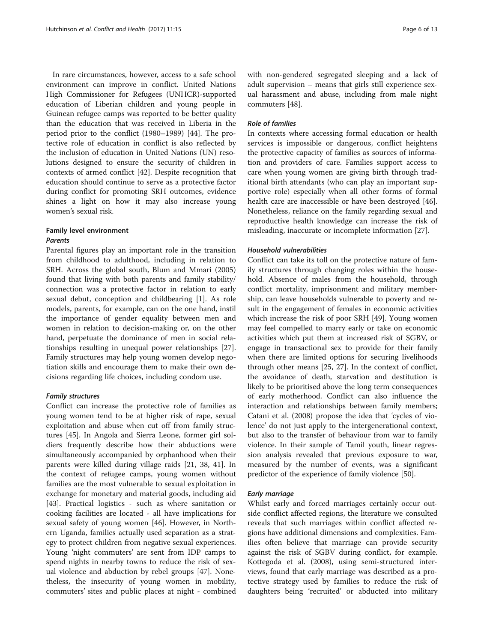In rare circumstances, however, access to a safe school environment can improve in conflict. United Nations High Commissioner for Refugees (UNHCR)-supported education of Liberian children and young people in Guinean refugee camps was reported to be better quality than the education that was received in Liberia in the period prior to the conflict (1980–1989) [[44](#page-11-0)]. The protective role of education in conflict is also reflected by the inclusion of education in United Nations (UN) resolutions designed to ensure the security of children in contexts of armed conflict [[42\]](#page-11-0). Despite recognition that education should continue to serve as a protective factor during conflict for promoting SRH outcomes, evidence shines a light on how it may also increase young women's sexual risk.

## Family level environment

## **Parents**

Parental figures play an important role in the transition from childhood to adulthood, including in relation to SRH. Across the global south, Blum and Mmari (2005) found that living with both parents and family stability/ connection was a protective factor in relation to early sexual debut, conception and childbearing [\[1](#page-10-0)]. As role models, parents, for example, can on the one hand, instil the importance of gender equality between men and women in relation to decision-making or, on the other hand, perpetuate the dominance of men in social relationships resulting in unequal power relationships [\[27](#page-11-0)]. Family structures may help young women develop negotiation skills and encourage them to make their own decisions regarding life choices, including condom use.

## Family structures

Conflict can increase the protective role of families as young women tend to be at higher risk of rape, sexual exploitation and abuse when cut off from family structures [\[45\]](#page-11-0). In Angola and Sierra Leone, former girl soldiers frequently describe how their abductions were simultaneously accompanied by orphanhood when their parents were killed during village raids [[21, 38, 41](#page-11-0)]. In the context of refugee camps, young women without families are the most vulnerable to sexual exploitation in exchange for monetary and material goods, including aid [[43\]](#page-11-0). Practical logistics - such as where sanitation or cooking facilities are located - all have implications for sexual safety of young women [[46\]](#page-11-0). However, in Northern Uganda, families actually used separation as a strategy to protect children from negative sexual experiences. Young 'night commuters' are sent from IDP camps to spend nights in nearby towns to reduce the risk of sexual violence and abduction by rebel groups [[47](#page-11-0)]. Nonetheless, the insecurity of young women in mobility, commuters' sites and public places at night - combined with non-gendered segregated sleeping and a lack of adult supervision – means that girls still experience sexual harassment and abuse, including from male night commuters [\[48\]](#page-11-0).

## Role of families

In contexts where accessing formal education or health services is impossible or dangerous, conflict heightens the protective capacity of families as sources of information and providers of care. Families support access to care when young women are giving birth through traditional birth attendants (who can play an important supportive role) especially when all other forms of formal health care are inaccessible or have been destroyed [\[46](#page-11-0)]. Nonetheless, reliance on the family regarding sexual and reproductive health knowledge can increase the risk of misleading, inaccurate or incomplete information [[27](#page-11-0)].

## Household vulnerabilities

Conflict can take its toll on the protective nature of family structures through changing roles within the household. Absence of males from the household, through conflict mortality, imprisonment and military membership, can leave households vulnerable to poverty and result in the engagement of females in economic activities which increase the risk of poor SRH [[49](#page-11-0)]. Young women may feel compelled to marry early or take on economic activities which put them at increased risk of SGBV, or engage in transactional sex to provide for their family when there are limited options for securing livelihoods through other means [\[25](#page-11-0), [27\]](#page-11-0). In the context of conflict, the avoidance of death, starvation and destitution is likely to be prioritised above the long term consequences of early motherhood. Conflict can also influence the interaction and relationships between family members; Catani et al. (2008) propose the idea that 'cycles of violence' do not just apply to the intergenerational context, but also to the transfer of behaviour from war to family violence. In their sample of Tamil youth, linear regression analysis revealed that previous exposure to war, measured by the number of events, was a significant predictor of the experience of family violence [[50](#page-11-0)].

## Early marriage

Whilst early and forced marriages certainly occur outside conflict affected regions, the literature we consulted reveals that such marriages within conflict affected regions have additional dimensions and complexities. Families often believe that marriage can provide security against the risk of SGBV during conflict, for example. Kottegoda et al. (2008), using semi-structured interviews, found that early marriage was described as a protective strategy used by families to reduce the risk of daughters being 'recruited' or abducted into military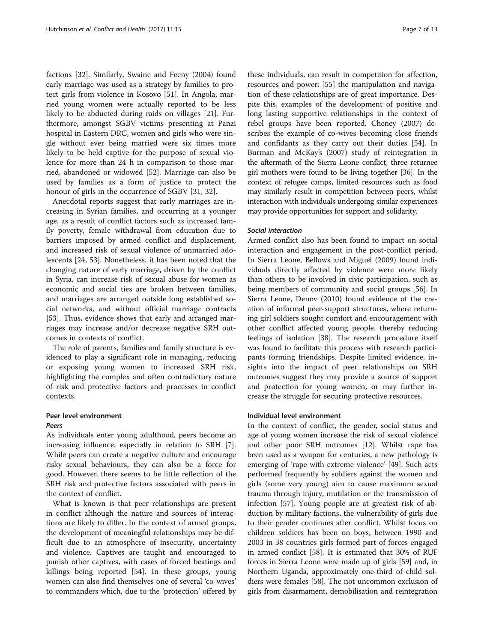factions [[32](#page-11-0)]. Similarly, Swaine and Feeny (2004) found early marriage was used as a strategy by families to protect girls from violence in Kosovo [[51\]](#page-11-0). In Angola, married young women were actually reported to be less likely to be abducted during raids on villages [\[21\]](#page-11-0). Furthermore, amongst SGBV victims presenting at Panzi hospital in Eastern DRC, women and girls who were single without ever being married were six times more likely to be held captive for the purpose of sexual violence for more than 24 h in comparison to those married, abandoned or widowed [\[52\]](#page-11-0). Marriage can also be used by families as a form of justice to protect the honour of girls in the occurrence of SGBV [\[31](#page-11-0), [32](#page-11-0)].

Anecdotal reports suggest that early marriages are increasing in Syrian families, and occurring at a younger age, as a result of conflict factors such as increased family poverty, female withdrawal from education due to barriers imposed by armed conflict and displacement, and increased risk of sexual violence of unmarried adolescents [[24, 53\]](#page-11-0). Nonetheless, it has been noted that the changing nature of early marriage, driven by the conflict in Syria, can increase risk of sexual abuse for women as economic and social ties are broken between families, and marriages are arranged outside long established social networks, and without official marriage contracts [[53\]](#page-11-0). Thus, evidence shows that early and arranged marriages may increase and/or decrease negative SRH outcomes in contexts of conflict.

The role of parents, families and family structure is evidenced to play a significant role in managing, reducing or exposing young women to increased SRH risk, highlighting the complex and often contradictory nature of risk and protective factors and processes in conflict contexts.

## Peer level environment

#### Peers

As individuals enter young adulthood, peers become an increasing influence, especially in relation to SRH [\[7](#page-11-0)]. While peers can create a negative culture and encourage risky sexual behaviours, they can also be a force for good. However, there seems to be little reflection of the SRH risk and protective factors associated with peers in the context of conflict.

What is known is that peer relationships are present in conflict although the nature and sources of interactions are likely to differ. In the context of armed groups, the development of meaningful relationships may be difficult due to an atmosphere of insecurity, uncertainty and violence. Captives are taught and encouraged to punish other captives, with cases of forced beatings and killings being reported [\[54\]](#page-11-0). In these groups, young women can also find themselves one of several 'co-wives' to commanders which, due to the 'protection' offered by

these individuals, can result in competition for affection, resources and power; [[55](#page-11-0)] the manipulation and navigation of these relationships are of great importance. Despite this, examples of the development of positive and long lasting supportive relationships in the context of rebel groups have been reported. Cheney (2007) describes the example of co-wives becoming close friends and confidants as they carry out their duties [[54](#page-11-0)]. In Burman and McKay's (2007) study of reintegration in the aftermath of the Sierra Leone conflict, three returnee girl mothers were found to be living together [[36](#page-11-0)]. In the context of refugee camps, limited resources such as food may similarly result in competition between peers, whilst interaction with individuals undergoing similar experiences may provide opportunities for support and solidarity.

#### Social interaction

Armed conflict also has been found to impact on social interaction and engagement in the post-conflict period. In Sierra Leone, Bellows and Miguel (2009) found individuals directly affected by violence were more likely than others to be involved in civic participation, such as being members of community and social groups [\[56](#page-12-0)]. In Sierra Leone, Denov (2010) found evidence of the creation of informal peer-support structures, where returning girl soldiers sought comfort and encouragement with other conflict affected young people, thereby reducing feelings of isolation [[38](#page-11-0)]. The research procedure itself was found to facilitate this process with research participants forming friendships. Despite limited evidence, insights into the impact of peer relationships on SRH outcomes suggest they may provide a source of support and protection for young women, or may further increase the struggle for securing protective resources.

## Individual level environment

In the context of conflict, the gender, social status and age of young women increase the risk of sexual violence and other poor SRH outcomes [[12\]](#page-11-0). Whilst rape has been used as a weapon for centuries, a new pathology is emerging of 'rape with extreme violence' [[49\]](#page-11-0). Such acts performed frequently by soldiers against the women and girls (some very young) aim to cause maximum sexual trauma through injury, mutilation or the transmission of infection [\[57\]](#page-12-0). Young people are at greatest risk of abduction by military factions, the vulnerability of girls due to their gender continues after conflict. Whilst focus on children soldiers has been on boys, between 1990 and 2003 in 38 countries girls formed part of forces engaged in armed conflict [\[58\]](#page-12-0). It is estimated that 30% of RUF forces in Sierra Leone were made up of girls [\[59\]](#page-12-0) and, in Northern Uganda, approximately one-third of child soldiers were females [\[58\]](#page-12-0). The not uncommon exclusion of girls from disarmament, demobilisation and reintegration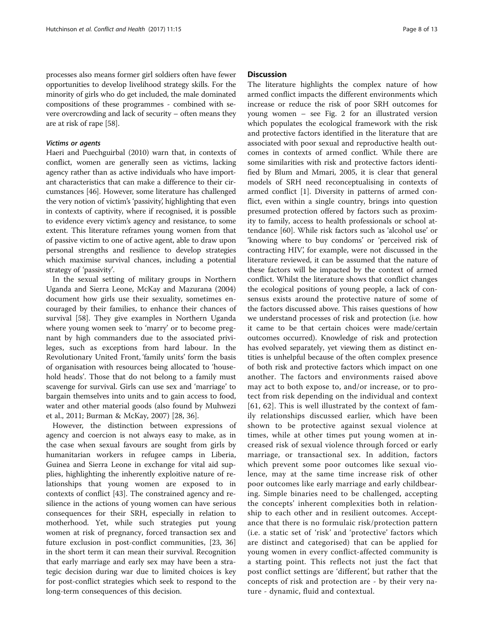processes also means former girl soldiers often have fewer opportunities to develop livelihood strategy skills. For the minority of girls who do get included, the male dominated compositions of these programmes - combined with severe overcrowding and lack of security – often means they are at risk of rape [\[58\]](#page-12-0).

#### Victims or agents

Haeri and Puechguirbal (2010) warn that, in contexts of conflict, women are generally seen as victims, lacking agency rather than as active individuals who have important characteristics that can make a difference to their circumstances [\[46\]](#page-11-0). However, some literature has challenged the very notion of victim's 'passivity', highlighting that even in contexts of captivity, where if recognised, it is possible to evidence every victim's agency and resistance, to some extent. This literature reframes young women from that of passive victim to one of active agent, able to draw upon personal strengths and resilience to develop strategies which maximise survival chances, including a potential strategy of 'passivity'.

In the sexual setting of military groups in Northern Uganda and Sierra Leone, McKay and Mazurana (2004) document how girls use their sexuality, sometimes encouraged by their families, to enhance their chances of survival [\[58\]](#page-12-0). They give examples in Northern Uganda where young women seek to 'marry' or to become pregnant by high commanders due to the associated privileges, such as exceptions from hard labour. In the Revolutionary United Front, 'family units' form the basis of organisation with resources being allocated to 'household heads'. Those that do not belong to a family must scavenge for survival. Girls can use sex and 'marriage' to bargain themselves into units and to gain access to food, water and other material goods (also found by Muhwezi et al., 2011; Burman & McKay, 2007) [[28, 36\]](#page-11-0).

However, the distinction between expressions of agency and coercion is not always easy to make, as in the case when sexual favours are sought from girls by humanitarian workers in refugee camps in Liberia, Guinea and Sierra Leone in exchange for vital aid supplies, highlighting the inherently exploitive nature of relationships that young women are exposed to in contexts of conflict [[43\]](#page-11-0). The constrained agency and resilience in the actions of young women can have serious consequences for their SRH, especially in relation to motherhood. Yet, while such strategies put young women at risk of pregnancy, forced transaction sex and future exclusion in post-conflict communities, [[23, 36](#page-11-0)] in the short term it can mean their survival. Recognition that early marriage and early sex may have been a strategic decision during war due to limited choices is key for post-conflict strategies which seek to respond to the long-term consequences of this decision.

## **Discussion**

The literature highlights the complex nature of how armed conflict impacts the different environments which increase or reduce the risk of poor SRH outcomes for young women – see Fig. [2](#page-8-0) for an illustrated version which populates the ecological framework with the risk and protective factors identified in the literature that are associated with poor sexual and reproductive health outcomes in contexts of armed conflict. While there are some similarities with risk and protective factors identified by Blum and Mmari, 2005, it is clear that general models of SRH need reconceptualising in contexts of armed conflict [[1\]](#page-10-0). Diversity in patterns of armed conflict, even within a single country, brings into question presumed protection offered by factors such as proximity to family, access to health professionals or school attendance [[60\]](#page-12-0). While risk factors such as 'alcohol use' or 'knowing where to buy condoms' or 'perceived risk of contracting HIV', for example, were not discussed in the literature reviewed, it can be assumed that the nature of these factors will be impacted by the context of armed conflict. Whilst the literature shows that conflict changes the ecological positions of young people, a lack of consensus exists around the protective nature of some of the factors discussed above. This raises questions of how we understand processes of risk and protection (i.e. how it came to be that certain choices were made/certain outcomes occurred). Knowledge of risk and protection has evolved separately, yet viewing them as distinct entities is unhelpful because of the often complex presence of both risk and protective factors which impact on one another. The factors and environments raised above may act to both expose to, and/or increase, or to protect from risk depending on the individual and context [[61](#page-12-0), [62](#page-12-0)]. This is well illustrated by the context of family relationships discussed earlier, which have been shown to be protective against sexual violence at times, while at other times put young women at increased risk of sexual violence through forced or early marriage, or transactional sex. In addition, factors which prevent some poor outcomes like sexual violence, may at the same time increase risk of other poor outcomes like early marriage and early childbearing. Simple binaries need to be challenged, accepting the concepts' inherent complexities both in relationship to each other and in resilient outcomes. Acceptance that there is no formulaic risk/protection pattern (i.e. a static set of 'risk' and 'protective' factors which are distinct and categorised) that can be applied for young women in every conflict-affected community is a starting point. This reflects not just the fact that post conflict settings are 'different', but rather that the concepts of risk and protection are - by their very nature - dynamic, fluid and contextual.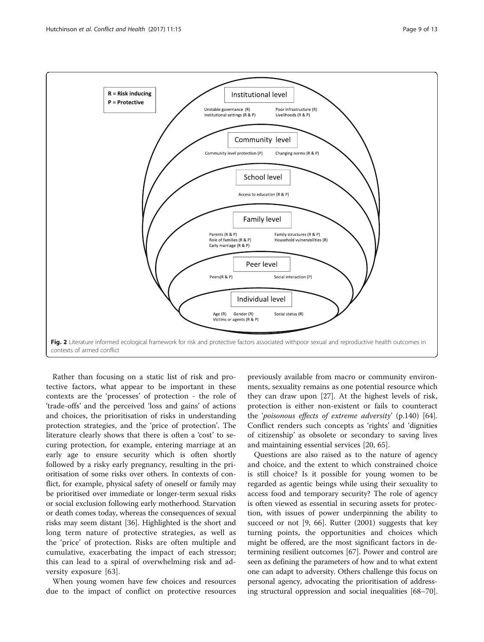<span id="page-8-0"></span>

Rather than focusing on a static list of risk and protective factors, what appear to be important in these contexts are the 'processes' of protection - the role of 'trade-offs' and the perceived 'loss and gains' of actions and choices, the prioritisation of risks in understanding protection strategies, and the 'price of protection'. The literature clearly shows that there is often a 'cost' to securing protection, for example, entering marriage at an early age to ensure security which is often shortly followed by a risky early pregnancy, resulting in the prioritisation of some risks over others. In contexts of conflict, for example, physical safety of oneself or family may be prioritised over immediate or longer-term sexual risks or social exclusion following early motherhood. Starvation or death comes today, whereas the consequences of sexual risks may seem distant [[36](#page-11-0)]. Highlighted is the short and long term nature of protective strategies, as well as the 'price' of protection. Risks are often multiple and cumulative, exacerbating the impact of each stressor; this can lead to a spiral of overwhelming risk and adversity exposure [\[63](#page-12-0)].

When young women have few choices and resources due to the impact of conflict on protective resources previously available from macro or community environments, sexuality remains as one potential resource which they can draw upon [[27\]](#page-11-0). At the highest levels of risk, protection is either non-existent or fails to counteract the 'poisonous effects of extreme adversity' (p.140) [\[64](#page-12-0)]. Conflict renders such concepts as 'rights' and 'dignities of citizenship' as obsolete or secondary to saving lives and maintaining essential services [[20,](#page-11-0) [65](#page-12-0)].

Questions are also raised as to the nature of agency and choice, and the extent to which constrained choice is still choice? Is it possible for young women to be regarded as agentic beings while using their sexuality to access food and temporary security? The role of agency is often viewed as essential in securing assets for protection, with issues of power underpinning the ability to succeed or not [\[9](#page-11-0), [66](#page-12-0)]. Rutter (2001) suggests that key turning points, the opportunities and choices which might be offered, are the most significant factors in determining resilient outcomes [[67\]](#page-12-0). Power and control are seen as defining the parameters of how and to what extent one can adapt to adversity. Others challenge this focus on personal agency, advocating the prioritisation of addressing structural oppression and social inequalities [\[68](#page-12-0)–[70](#page-12-0)].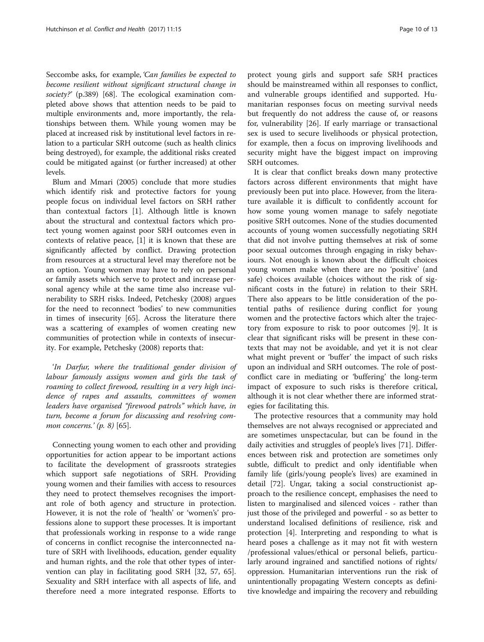Seccombe asks, for example, 'Can families be expected to become resilient without significant structural change in society?' (p.389) [\[68\]](#page-12-0). The ecological examination completed above shows that attention needs to be paid to multiple environments and, more importantly, the relationships between them. While young women may be placed at increased risk by institutional level factors in relation to a particular SRH outcome (such as health clinics being destroyed), for example, the additional risks created could be mitigated against (or further increased) at other levels.

Blum and Mmari (2005) conclude that more studies which identify risk and protective factors for young people focus on individual level factors on SRH rather than contextual factors [[1\]](#page-10-0). Although little is known about the structural and contextual factors which protect young women against poor SRH outcomes even in contexts of relative peace, [\[1](#page-10-0)] it is known that these are significantly affected by conflict. Drawing protection from resources at a structural level may therefore not be an option. Young women may have to rely on personal or family assets which serve to protect and increase personal agency while at the same time also increase vulnerability to SRH risks. Indeed, Petchesky (2008) argues for the need to reconnect 'bodies' to new communities in times of insecurity [\[65\]](#page-12-0). Across the literature there was a scattering of examples of women creating new communities of protection while in contexts of insecurity. For example, Petchesky (2008) reports that:

'In Darfur, where the traditional gender division of labour famously assigns women and girls the task of roaming to collect firewood, resulting in a very high incidence of rapes and assaults, committees of women leaders have organised "firewood patrols" which have, in turn, become a forum for discussing and resolving common concerns.'  $(p. 8)$  [\[65](#page-12-0)].

Connecting young women to each other and providing opportunities for action appear to be important actions to facilitate the development of grassroots strategies which support safe negotiations of SRH. Providing young women and their families with access to resources they need to protect themselves recognises the important role of both agency and structure in protection. However, it is not the role of 'health' or 'women's' professions alone to support these processes. It is important that professionals working in response to a wide range of concerns in conflict recognise the interconnected nature of SRH with livelihoods, education, gender equality and human rights, and the role that other types of intervention can play in facilitating good SRH [\[32](#page-11-0), [57, 65](#page-12-0)]. Sexuality and SRH interface with all aspects of life, and therefore need a more integrated response. Efforts to protect young girls and support safe SRH practices should be mainstreamed within all responses to conflict, and vulnerable groups identified and supported. Humanitarian responses focus on meeting survival needs but frequently do not address the cause of, or reasons for, vulnerability [[26\]](#page-11-0). If early marriage or transactional sex is used to secure livelihoods or physical protection, for example, then a focus on improving livelihoods and security might have the biggest impact on improving SRH outcomes.

It is clear that conflict breaks down many protective factors across different environments that might have previously been put into place. However, from the literature available it is difficult to confidently account for how some young women manage to safely negotiate positive SRH outcomes. None of the studies documented accounts of young women successfully negotiating SRH that did not involve putting themselves at risk of some poor sexual outcomes through engaging in risky behaviours. Not enough is known about the difficult choices young women make when there are no 'positive' (and safe) choices available (choices without the risk of significant costs in the future) in relation to their SRH. There also appears to be little consideration of the potential paths of resilience during conflict for young women and the protective factors which alter the trajectory from exposure to risk to poor outcomes [[9\]](#page-11-0). It is clear that significant risks will be present in these contexts that may not be avoidable, and yet it is not clear what might prevent or 'buffer' the impact of such risks upon an individual and SRH outcomes. The role of postconflict care in mediating or 'buffering' the long-term impact of exposure to such risks is therefore critical, although it is not clear whether there are informed strategies for facilitating this.

The protective resources that a community may hold themselves are not always recognised or appreciated and are sometimes unspectacular, but can be found in the daily activities and struggles of people's lives [\[71](#page-12-0)]. Differences between risk and protection are sometimes only subtle, difficult to predict and only identifiable when family life (girls/young people's lives) are examined in detail [[72\]](#page-12-0). Ungar, taking a social constructionist approach to the resilience concept, emphasises the need to listen to marginalised and silenced voices - rather than just those of the privileged and powerful - so as better to understand localised definitions of resilience, risk and protection [\[4](#page-10-0)]. Interpreting and responding to what is heard poses a challenge as it may not fit with western /professional values/ethical or personal beliefs, particularly around ingrained and sanctified notions of rights/ oppression. Humanitarian interventions run the risk of unintentionally propagating Western concepts as definitive knowledge and impairing the recovery and rebuilding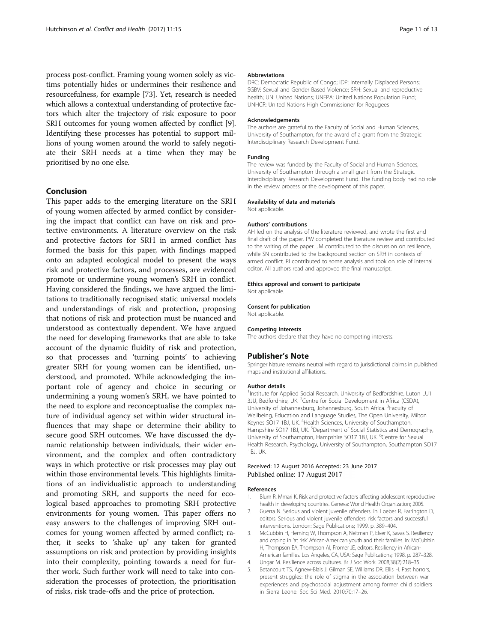<span id="page-10-0"></span>process post-conflict. Framing young women solely as victims potentially hides or undermines their resilience and resourcefulness, for example [\[73](#page-12-0)]. Yet, research is needed which allows a contextual understanding of protective factors which alter the trajectory of risk exposure to poor SRH outcomes for young women affected by conflict [[9](#page-11-0)]. Identifying these processes has potential to support millions of young women around the world to safely negotiate their SRH needs at a time when they may be prioritised by no one else.

## Conclusion

This paper adds to the emerging literature on the SRH of young women affected by armed conflict by considering the impact that conflict can have on risk and protective environments. A literature overview on the risk and protective factors for SRH in armed conflict has formed the basis for this paper, with findings mapped onto an adapted ecological model to present the ways risk and protective factors, and processes, are evidenced promote or undermine young women's SRH in conflict. Having considered the findings, we have argued the limitations to traditionally recognised static universal models and understandings of risk and protection, proposing that notions of risk and protection must be nuanced and understood as contextually dependent. We have argued the need for developing frameworks that are able to take account of the dynamic fluidity of risk and protection, so that processes and 'turning points' to achieving greater SRH for young women can be identified, understood, and promoted. While acknowledging the important role of agency and choice in securing or undermining a young women's SRH, we have pointed to the need to explore and reconceptualise the complex nature of individual agency set within wider structural influences that may shape or determine their ability to secure good SRH outcomes. We have discussed the dynamic relationship between individuals, their wider environment, and the complex and often contradictory ways in which protective or risk processes may play out within those environmental levels. This highlights limitations of an individualistic approach to understanding and promoting SRH, and supports the need for ecological based approaches to promoting SRH protective environments for young women. This paper offers no easy answers to the challenges of improving SRH outcomes for young women affected by armed conflict; rather, it seeks to 'shake up' any taken for granted assumptions on risk and protection by providing insights into their complexity, pointing towards a need for further work. Such further work will need to take into consideration the processes of protection, the prioritisation of risks, risk trade-offs and the price of protection.

#### Abbreviations

DRC: Democratic Republic of Congo; IDP: Internally Displaced Persons; SGBV: Sexual and Gender Based Violence; SRH: Sexual and reproductive health; UN: United Nations; UNFPA: United Nations Population Fund; UNHCR: United Nations High Commissioner for Regugees

#### Acknowledgements

The authors are grateful to the Faculty of Social and Human Sciences, University of Southampton, for the award of a grant from the Strategic Interdisciplinary Research Development Fund.

#### Funding

The review was funded by the Faculty of Social and Human Sciences, University of Southampton through a small grant from the Strategic Interdisciplinary Research Development Fund. The funding body had no role in the review process or the development of this paper.

#### Availability of data and materials

Not applicable.

#### Authors' contributions

AH led on the analysis of the literature reviewed, and wrote the first and final draft of the paper. PW completed the literature review and contributed to the writing of the paper. JM contributed to the discussion on resilience, while SN contributed to the background section on SRH in contexts of armed conflict. RI contributed to some analysis and took on role of internal editor. All authors read and approved the final manuscript.

#### Ethics approval and consent to participate

Not applicable.

#### Consent for publication

Not applicable.

#### Competing interests

The authors declare that they have no competing interests.

#### Publisher's Note

Springer Nature remains neutral with regard to jurisdictional claims in published maps and institutional affiliations.

#### Author details

<sup>1</sup>Institute for Applied Social Research, University of Bedfordshire, Luton LU1 3JU, Bedfordhire, UK. <sup>2</sup>Centre for Social Development in Africa (CSDA), University of Johannesburg, Johannesburg, South Africa. <sup>3</sup>Faculty of Wellbeing, Education and Language Studies, The Open University, Milton Keynes SO17 1BJ, UK. <sup>4</sup> Health Sciences, University of Southampton, Hampshire SO17 1BJ, UK. <sup>5</sup>Department of Social Statistics and Demography, University of Southampton, Hampshire SO17 1BJ, UK. <sup>6</sup>Centre for Sexual Health Research, Psychology, University of Southampton, Southampton SO17 1BJ, UK.

#### Received: 12 August 2016 Accepted: 23 June 2017 Published online: 17 August 2017

#### References

- 1. Blum R, Mmari K. Risk and protective factors affecting adolescent reproductive health in developing countries. Geneva: World Health Organization; 2005.
- 2. Guerra N. Serious and violent juvenile offenders. In: Loeber R, Farrington D, editors. Serious and violent juvenile offenders: risk factors and successful interventions. London: Sage Publications; 1999. p. 389–404.
- 3. McCubbin H, Fleming W, Thompson A, Neitman P, Elver K, Savas S. Resiliency and coping in 'at risk' African-American youth and their families. In: McCubbin H, Thompson EA, Thompson AI, Fromer JE, editors. Resiliency in African-American families. Los Angeles, CA, USA: Sage Publications; 1998. p. 287–328.
- 4. Ungar M. Resilience across cultures. Br J Soc Work. 2008;38(2):218–35.
- 5. Betancourt TS, Agnew-Blais J, Gilman SE, Williams DR, Ellis H. Past horrors, present struggles: the role of stigma in the association between war experiences and psychosocial adjustment among former child soldiers in Sierra Leone. Soc Sci Med. 2010;70:17–26.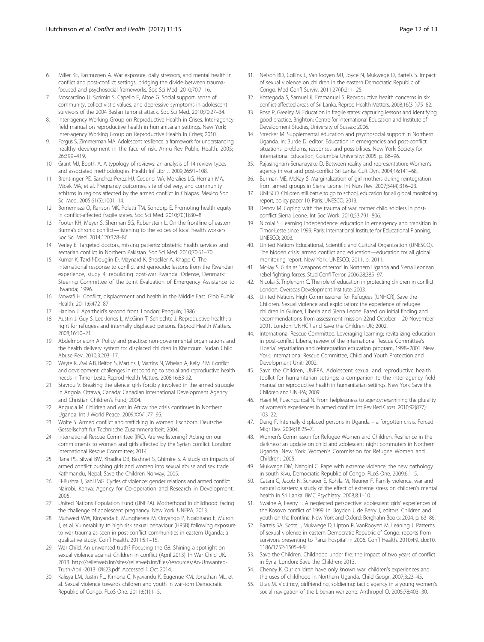- <span id="page-11-0"></span>6. Miller KE, Rasmussen A. War exposure, daily stressors, and mental health in conflict and post-conflict settings: bridging the divide between traumafocused and psychosocial frameworks. Soc Sci Med. 2010;70:7–16.
- 7. Moscardino U, Scrimin S, Capello F, Altoe G. Social support, sense of community, collectivistic values, and depressive symptoms in adolescent survivors of the 2004 Beslan terrorist attack. Soc Sci Med. 2010;70:27–34.
- Inter-agency Working Group on Reproductive Health in Crises. Inter-agency field manual on reproductive health in humanitarian settings. New York: Inter-agency Working Group on Reproductive Health in Crises; 2010.
- 9. Fergus S, Zimmerman MA. Adolescent resilience: a framework for understanding healthy development in the face of risk. Annu Rev Public Health. 2005; 26:399–419.
- 10. Grant MJ, Booth A. A typology of reviews: an analysis of 14 review types and associated methodologies. Health Inf Libr J. 2009;26:91–108.
- 11. Brentlinger PE, Sanchez-Perez HJ, Cedeno MA, Moralies LG, Hernan MA, Micek MA, et al. Pregnancy outcomes, site of delivery, and community schisms in regions affected by the armed conflict in Chiapas. Mexico Soc Sci Med. 2005;61(5):1001–14.
- 12. Bornemisza O, Ranson MK, Poletti TM, Sondorp E. Promoting health equity in conflict-affected fragile states. Soc Sci Med. 2010;70(1):80–8.
- 13. Footer KH, Meyer S, Sherman SG, Rubenstein L. On the frontline of eastern Burma's chronic conflict—listening to the voices of local health workers. Soc Sci Med. 2014;120:378–86.
- 14. Verley E. Targeted doctors, missing patients: obstetric health services and sectarian conflict in Northern Pakistan. Soc Sci Med. 2010;70:61–70.
- 15. Kumar K, Tardif-Douglin D, Maynard K, Sheckler A, Knapp C. The international response to conflict and genocide: lessons from the Rwandan experience, study 4: rebuilding post-war Rwanda. Odense, Denmark: Steering Committee of the Joint Evaluation of Emergency Assistance to Rwanda; 1996.
- 16. Mowafi H. Conflict, displacement and health in the Middle East. Glob Public Health. 2011;6:472–87.
- 17. Hanlon J. Apartheid's second front. London: Penguin; 1986.
- 18. Austin J, Guy S, Lee-Jones L, McGinn T, Schlechte J. Reproductive health: a right for refugees and internally displaced persons. Reprod Health Matters. 2008;16:10–21.
- 19. Abdelmoneium A. Policy and practice: non-governmental organisations and the health delivery system for displaced children in Khartoum. Sudan Child Abuse Rev. 2010;3:203–17.
- 20. Wayte K, Zwi A.B, Belton S, Martins J, Martins N, Whelan A, Kelly P.M. Conflict and development: challenges in responding to sexual and reproductive health needs in Timor-Leste. Reprod Health Matters. 2008;16:83-92.
- 21. Stavrou V. Breaking the silence: girls forcibly involved in the armed struggle in Angola. Ottawa, Canada: Canadian International Development Agency and Christian Children's Fund; 2004.
- 22. Angucia M. Children and war in Africa: the crisis continues in Northern Uganda. Int J World Peace. 2009;XXV1:77–95.
- 23. Wolte S. Armed conflict and trafficking in women. Eschborn: Deutsche Gessellschaft fur Technische Zusammenarbeit; 2004.
- 24. International Rescue Committee (IRC). Are we listening? Acting on our commitments to women and girls affected by the Syrian conflict. London: International Rescue Committee; 2014.
- 25. Rana PS, Silwal BW, Khadka DB, Bashnet S, Ghimire S. A study on impacts of armed conflict pushing girls and women into sexual abuse and sex trade. Kathmandu, Nepal: Save the Children Norway; 2005.
- 26. El-Bushra J, Sahl IMG. Cycles of violence: gender relations and armed conflict. Nairobi, Kenya: Agency for Co-operation and Research in Development; 2005.
- 27. United Nations Population Fund (UNFPA). Motherhood in childhood: facing the challenge of adolescent pregnancy. New York: UNFPA; 2013.
- 28. Muhwezi WW, Kinyanda E, Mungherera M, Onyango P, Ngabirano E, Muron J, et al. Vulnerability to high risk sexual behaviour (HRSB) following exposure to war trauma as seen in post-conflict communities in eastern Uganda: a qualitative study. Confl Health. 2011;5:1–15.
- 29. War Child. An unwanted truth? Focusing the G8: Shining a spotlight on sexual violence against Children in conflict (April 2013). In War Child UK. 2013. [http://reliefweb.int/sites/reliefweb.int/files/resources/An-Unwanted-](http://reliefweb.int/sites/reliefweb.int/files/resources/An-Unwanted-Truth-April-2013_0%23.pdf)[Truth-April-2013\\_0%23.pdf](http://reliefweb.int/sites/reliefweb.int/files/resources/An-Unwanted-Truth-April-2013_0%23.pdf). Accessed 1 Oct 2014.
- 30. Kalisya LM, Justin PL, Kimona C, Nyavandu K, Eugenue KM, Jonathan ML, et al. Sexual violence towards children and youth in war-torn Democratic Republic of Congo. PLoS One. 2011;6(1):1–5.
- 31. Nelson BD, Collins L, VanRooyen MJ, Joyce N, Mukwege D, Bartels S. Impact of sexual violence on children in the eastern Democratic Republic of Congo. Med Confl Surviv. 2011;27(4):211–25.
- 32. Kottegoda S, Samuel K, Emmanuel S. Reproductive health concerns in six conflict-affected areas of Sri Lanka. Reprod Health Matters. 2008;16(31):75–82.
- 33. Rose P, Greeley M. Education in fragile states: capturing lessons and identifying good practice. Brighton: Centre for International Education and Institute of Development Studies, University of Sussex; 2006.
- 34. Strecker M. Supplemental education and psychosocial support in Northern Uganda. In: Burde D, editor. Education in emergencies and post-conflict situations: problems, responses and possibilities. New York: Society for International Education, Columbia University; 2005. p. 86–96.
- 35. Rajasingham-Senanayake D. Between reality and representation: Women's agency in war and post-conflict Sri Lanka. Cult Dyn. 2004;16:141–68.
- 36. Burman ME, McKay S. Marginalization of girl mothers during reintegration from armed groups in Sierra Leone. Int Nurs Rev. 2007;54(4):316–23.
- 37. UNESCO. Children still battle to go to school, education for all global monitoring report, policy paper 10. Paris: UNESCO; 2013.
- 38. Denov M. Coping with the trauma of war: former child soldiers in postconflict Sierra Leone. Int Soc Work. 2010;53:791–806.
- 39. Nicolai S. Learning independence: education in emergency and transition in Timor-Leste since 1999. Paris: International Institute for Educational Planning, UNESCO; 2003.
- 40. United Nations Educational, Scientific and Cultural Organization (UNESCO). The hidden crisis: armed conflict and education—education for all global monitoring report. New York: UNESCO; 2011. p. 2011.
- 41. McKay S. Girl's as "weapons of terror" in Northern Uganda and Sierra Leonean rebel fighting forces. Stud Confl Terror. 2006;28:385–97.
- 42. Nicolai S, Triplehorn C. The role of education in protecting children in conflict. London: Overseas Development Institute; 2003.
- 43. United Nations High Commissioner for Refugees (UNHCR), Save the Children. Sexual violence and exploitation: the experience of refugee children in Guinea, Liberia and Sierra Leone. Based on initial finding and recommendations from assessment mission 22nd October – 20 November 2001. London: UNHCR and Save the Children UK; 2002.
- 44. International Rescue Committee. Leveraging learning: revitalizing education in post-conflict Liberia, review of the international Rescue Committee's Liberia' repatriation and reintegration education program, 1998–2001. New York: International Rescue Committee, Child and Youth Protection and Development Unit; 2002.
- 45. Save the Children, UNFPA. Adolescent sexual and reproductive health toolkit for humanitarian settings: a companion to the inter-agency field manual on reproductive health in humanitarian settings. New York: Save the Children and UNFPA; 2009.
- 46. Haeri M, Puechguirbal N. From helplessness to agency: examining the plurality of women's experiences in armed conflict. Int Rev Red Cross. 2010;92(877): 103–22.
- 47. Deng F. Internally displaced persons in Uganda a forgotten crisis. Forced Migr Rev. 2004;18:25–7.
- 48. Women's Commission for Refugee Women and Children. Resilience in the darkness: an update on child and adolescent night commuters in Northern Uganda. New York: Women's Commission for Refugee Women and Children; 2005.
- 49. Mukwege DM, Nangini C. Rape with extreme violence: the new pathology in south Kivu, Democratic Republic of Congo. PLoS One. 2009;6:1–5.
- 50. Catani C, Jacob N, Schauer E, Kohila M, Neuner F. Family violence, war and natural disasters: a study of the effect of extreme stress on children's mental health in Sri Lanka. BMC Psychiatry. 2008;8:1–10.
- 51. Swaine A, Feeny T. A neglected perspective: adolescent girls' experiences of the Kosovo conflict of 1999. In: Boyden J, de Berry J, editors. Children and youth on the frontline. New York and Oxford: Berghahn Books; 2004. p. 63–86.
- 52. Bartels SA, Scott J, Mukwege D, Lipton R, VanRooyen M, Leaning J. Patterns of sexual violence in eastern Democratic Republic of Congo: reports from survivors presenting to Panzi hospital in 2006. Confl Health. 2010;4:9. doi[:10.](http://dx.doi.org/10.1186/1752-1505-4-9) [1186/1752-1505-4-9](http://dx.doi.org/10.1186/1752-1505-4-9).
- 53. Save the Children. Childhood under fire: the impact of two years of conflict in Syria. London: Save the Children; 2013.
- 54. Cheney K. Our children have only known war: children's experiences and the uses of childhood in Northern Uganda. Child Geogr. 2007;3:23–45.
- 55. Utas M. Victimcy, girlfriending, soldiering: tactic agency in a young women's social navigation of the Liberian war zone. Anthropol Q. 2005;78:403–30.